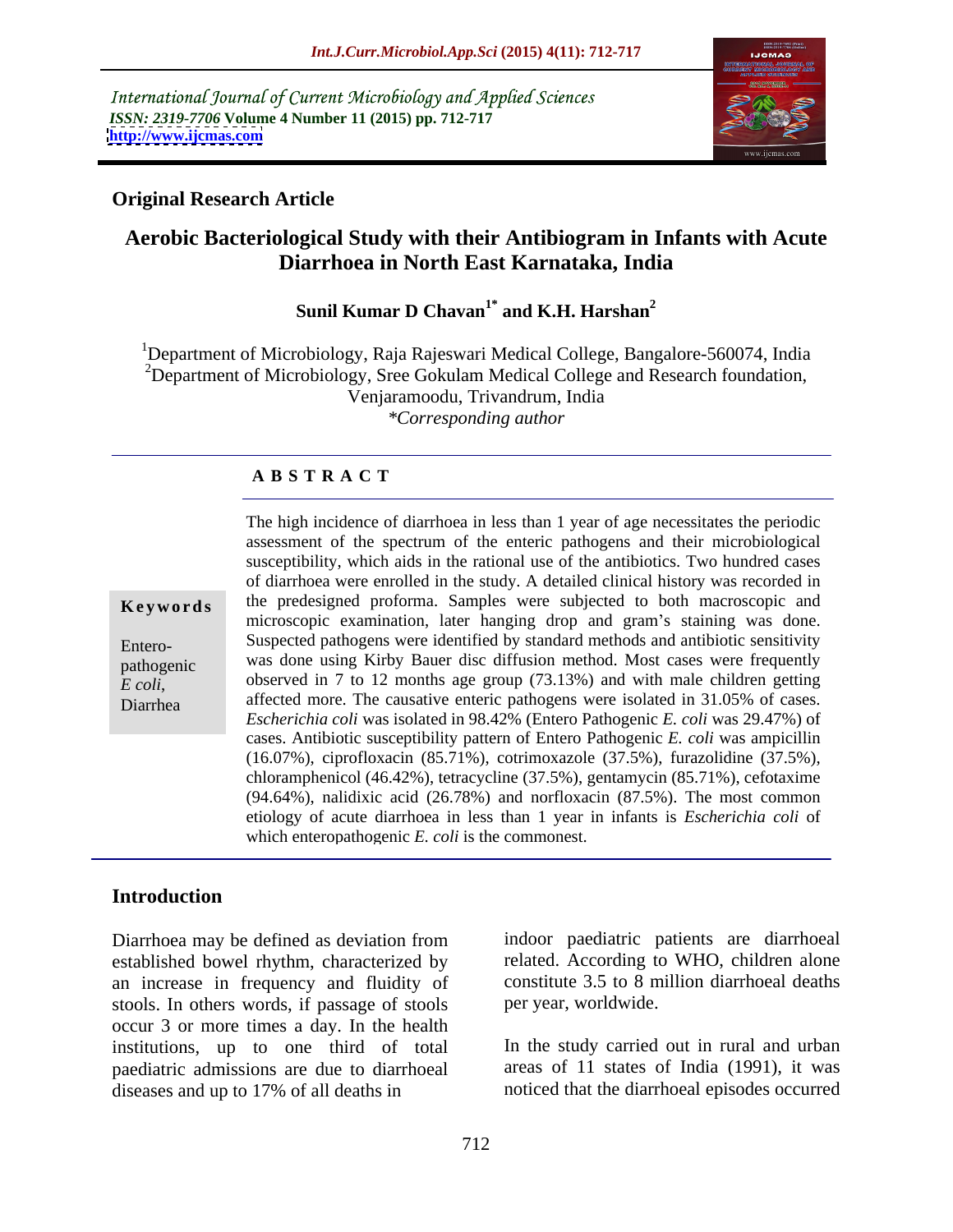International Journal of Current Microbiology and Applied Sciences *ISSN: 2319-7706* **Volume 4 Number 11 (2015) pp. 712-717 <http://www.ijcmas.com>**



# **Original Research Article**

# **Aerobic Bacteriological Study with their Antibiogram in Infants with Acute Diarrhoea in North East Karnataka, India**

### Sunil Kumar D Chavan<sup>1\*</sup> and K.H. Harshan<sup>2</sup> **and K.H. Harshan2**

1Department of Microbiology, Raja Rajeswari Medical College, Bangalore-560074, India  $2D$  Department of Microbiology, Sree Gokulam Medical College and Research foundation, Venjaramoodu, Trivandrum, India *\*Corresponding author*

# **A B S T R A C T**

*E coli*, Diarrhea

The high incidence of diarrhoea in less than 1 year of age necessitates the periodic assessment of the spectrum of the enteric pathogens and their microbiological susceptibility, which aids in the rational use of the antibiotics. Two hundred cases of diarrhoea were enrolled in the study. A detailed clinical history was recorded in **Keywords** the predesigned proforma. Samples were subjected to both macroscopic and microscopic examination, later hanging drop and gram's staining was done. Suspected pathogens were identified by standard methods and antibiotic sensitivity Entero pathogenic was done using Kirby Bauer disc diffusion method. Most cases were frequently observed in 7 to 12 months age group (73.13%) and with male children getting affected more. The causative enteric pathogens were isolated in 31.05% of cases. *Escherichia coli* was isolated in 98.42% (Entero Pathogenic *E. coli* was 29.47%) of cases. Antibiotic susceptibility pattern of Entero Pathogenic *E. coli* was ampicillin (16.07%), ciprofloxacin (85.71%), cotrimoxazole (37.5%), furazolidine (37.5%), chloramphenicol (46.42%), tetracycline (37.5%), gentamycin (85.71%), cefotaxime (94.64%), nalidixic acid (26.78%) and norfloxacin (87.5%). The most common etiology of acute diarrhoea in less than 1 year in infants is *Escherichia coli* of which enteropathogenic *E. coli* is the commonest.

# **Introduction**

Diarrhoea may be defined as deviation from established bowel rhythm, characterized by an increase in frequency and fluidity of stools. In others words, if passage of stools occur 3 or more times a day. In the health institutions, up to one third of total paediatric admissions are due to diarrhoeal diseases and up to 17% of all deaths in

indoor paediatric patients are diarrhoeal related. According to WHO, children alone constitute 3.5 to 8 million diarrhoeal deaths per year, worldwide.

In the study carried out in rural and urban areas of 11 states of India (1991), it was noticed that the diarrhoeal episodes occurred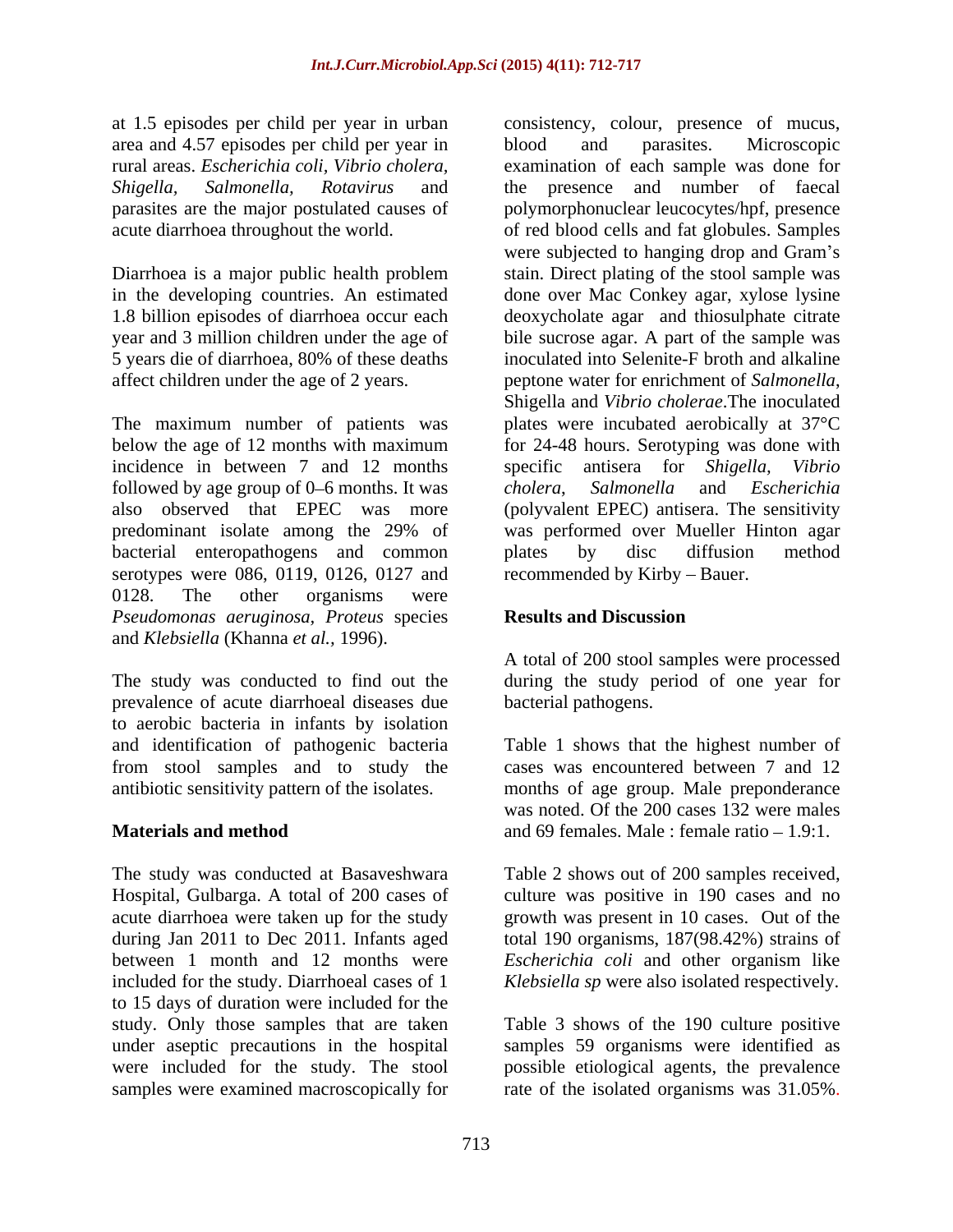at 1.5 episodes per child per year in urban area and 4.57 episodes per child per year in

5 years die of diarrhoea, 80% of these deaths affect children under the age of 2 years. peptone water for enrichment of Salmonella,

The maximum number of patients was below the age of 12 months with maximum for 24-48 hours. Serotyping was done with incidence in between 7 and 12 months specific antisera for Shigella, Vibrio followed by age group of 0–6 months. It was cholera, Salmonella and Escherichia also observed that EPEC was more predominant isolate among the 29% of was performed over Mueller Hinton agar bacterial enteropathogens and common plates by disc diffusion method serotypes were 086, 0119, 0126, 0127 and 0128. The other organisms were *Pseudomonas aeruginosa, Proteus* species and *Klebsiella* (Khanna *et al.,* 1996).

The study was conducted to find out the during the study period of one year for prevalence of acute diarrhoeal diseases due to aerobic bacteria in infants by isolation

The study was conducted at Basaveshwara Table 2 shows out of 200 samples received, Hospital, Gulbarga. A total of 200 cases of acute diarrhoea were taken up for the study during Jan 2011 to Dec 2011. Infants aged total 190 organisms, 187(98.42%) strains of between 1 month and 12 months were *Escherichia coli* and other organism like included for the study. Diarrhoeal cases of 1 *Klebsiella sp* were also isolated respectively. to 15 days of duration were included for the study. Only those samples that are taken under aseptic precautions in the hospital samples 59 organisms were identified as were included for the study. The stool possible etiological agents, the prevalence

rural areas. *Escherichia coli, Vibrio cholera,* examination of each sample was done for *Shigella, Salmonella, Rotavirus* and the presence and number of faecal parasites are the major postulated causes of polymorphonuclear leucocytes/hpf, presence acute diarrhoea throughout the world. of red blood cells and fat globules. Samples Diarrhoea is a major public health problem stain. Direct plating of the stoolsample was in the developing countries. An estimated done over Mac Conkey agar, xylose lysine 1.8 billion episodes of diarrhoea occur each deoxycholate agar and thiosulphate citrate year and 3 million children under the age of bile sucrose agar. A part of the sample was consistency, colour, presence of mucus, blood and parasites. Microscopic were subjected to hanging drop and Gram's inoculated into Selenite-F broth and alkaline peptone water for enrichment of *Salmonella*, Shigella and *Vibrio cholerae*.The inoculated plates were incubated aerobically at 37°C specific antisera for *Shigella, Vibrio cholera*, *Salmonella* and *Escherichia* (polyvalent EPEC) antisera. The sensitivity plates by disc diffusion method recommended by Kirby – Bauer.

# **Results and Discussion**

A total of 200 stool samples were processed bacterial pathogens.

and identification of pathogenic bacteria Table 1 shows that the highest number of from stool samples and to study the cases was encountered between 7 and 12 antibiotic sensitivity pattern of the isolates. months of age group. Male preponderance **Materials and method** and 69 females. Male : female ratio – 1.9:1. was noted. Of the 200 cases 132 were males

> culture was positive in 190 cases and no growth was present in 10 cases. Out of the

samples were examined macroscopically for rate of the isolated organisms was 31.05%. Table 3 shows of the 190 culture positive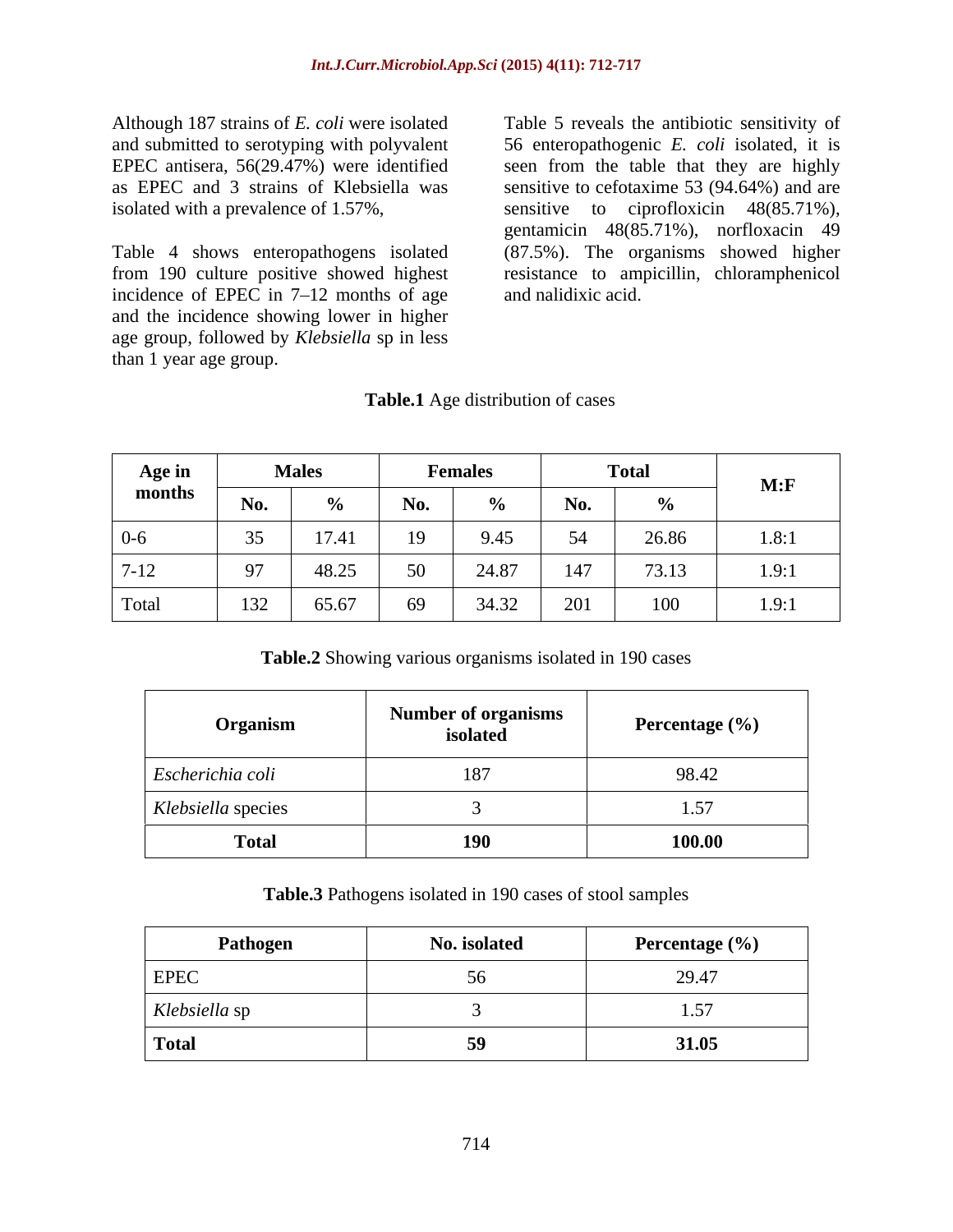Although 187 strains of *E. coli* were isolated Table 5 reveals the antibiotic sensitivity of isolated with a prevalence of 1.57%,

incidence of EPEC in  $7-12$  months of age and the incidence showing lower in higher age group, followed by *Klebsiella* sp in less than 1 year age group.

and submitted to serotyping with polyvalent 56 enteropathogenic *E. coli* isolated, it is EPEC antisera, 56(29.47%) were identified seen from the table that they are highly as EPEC and 3 strains of Klebsiella was sensitive to cefotaxime 53 (94.64%) and are Table 4 shows enteropathogens isolated (87.5%). The organisms showed higher from 190 culture positive showed highest resistance to ampicillin, chloramphenicol ciprofloxicin  $48(85.71\%)$ , gentamicin 48(85.71%), norfloxacin 49 and nalidixic acid.

| Table.1'<br>Age distribution of cases |  |
|---------------------------------------|--|
|                                       |  |

| Age in   | <b>Males</b>              |               | <b>Females</b>                              |        |     | <b>Total</b> | M: F  |
|----------|---------------------------|---------------|---------------------------------------------|--------|-----|--------------|-------|
| months   | No.                       | $\sim$ $\sim$ | No.                                         | $\sim$ |     |              |       |
| በ-6      | $\gamma$ $\epsilon$<br>53 | 17.41         | <b>Contract Contract Contract</b><br>$\sim$ | 9.45   |     | 76.QG        | 1.8:1 |
| $7 - 12$ |                           | 48.25         |                                             | 24.87  | 147 | 73.13        | 1.9:1 |
| Total    | 132                       | 65.67         |                                             | 34.32  | 201 | 100          | 1.9:1 |

**Table.2** Showing various organisms isolated in 190 cases

| Organism           | <b>Number of organisms</b><br>isolated | Percentage (%) |
|--------------------|----------------------------------------|----------------|
| Escherichia coli   | 187                                    | 98.42          |
| Klebsiella species |                                        | $\cdot$        |
| <b>Total</b>       | <b>190</b>                             | 100.00         |

**Table.3** Pathogens isolated in 190 cases of stool samples

| Pathogen      | No. isolated | Percentage (%) |
|---------------|--------------|----------------|
| <b>EPEC</b>   | ◡◡           | 29.47          |
| Klebsiella sp |              | 1.07           |
| <b>Total</b>  | 59           | 31.05          |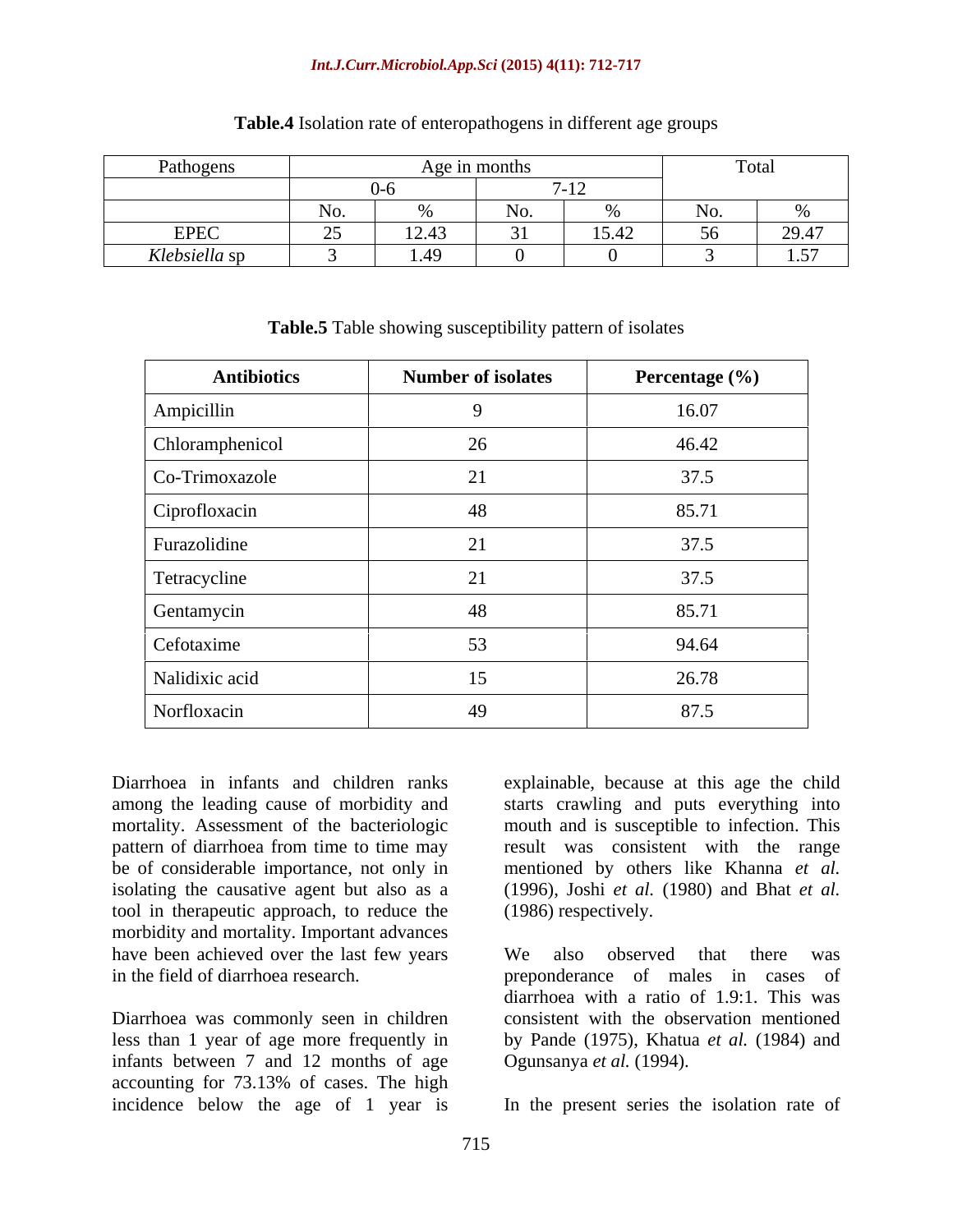### *Int.J.Curr.Microbiol.App.Sci* **(2015) 4(11): 712-717**

| Pathogens<br>the contract of the contract of the contract of the contract of the contract of |                                                                                 | Age in month                    |          |             | 1 o cui |
|----------------------------------------------------------------------------------------------|---------------------------------------------------------------------------------|---------------------------------|----------|-------------|---------|
|                                                                                              |                                                                                 |                                 |          | $\sqrt{10}$ |         |
|                                                                                              | $\mathbf{r}$<br>N <sub>O</sub> .                                                |                                 |          |             |         |
| EPEC                                                                                         | $\sim$ $\sim$                                                                   | $\sqrt{10}$ $\sqrt{2}$<br>12.43 | $\sim$ 1 | 15.42       | 20.47   |
| <i>Klebsiella</i> sp<br>$\sim$ $\sim$ $\sim$                                                 | the contract of the contract of the contract of the contract of the contract of | $1\lambda$<br>1.47<br>_____     |          |             | 157     |

## **Table.4** Isolation rate of enteropathogens in different age groups

| <b>Antibiotics</b> | <b>Number of isolates</b> | Percentage (%) |
|--------------------|---------------------------|----------------|
| Ampicillin         |                           | 16.07          |
| Chloramphenicol    | 26                        | 46.42          |
| Co-Trimoxazole     | 21                        | 37.5           |
| Ciprofloxacin      | 48                        | 85.71          |
| Furazolidine       | 21                        | 37.5           |
| Tetracycline       | 21                        | 37.5           |
| Gentamycin         | 48                        | 85.71          |
| Cefotaxime         | 53                        | 94.64          |
| Nalidixic acid     | 15                        | 26.78          |
| Norfloxacin        | 49                        | 87.5           |

## **Table.5** Table showing susceptibility pattern of isolates

Diarrhoea in infants and children ranks explainable, because at this age the child among the leading cause of morbidity and starts crawling and puts everything into mortality. Assessment of the bacteriologic mouth and is susceptible to infection. This pattern of diarrhoea from time to time may be of considerable importance, not only in isolating the causative agent but also as a tool in therapeutic approach, to reduce the morbidity and mortality. Important advances have been achieved over the last few years We also observed that there was

Diarrhoea was commonly seen in children infants between 7 and 12 months of age accounting for 73.13% of cases. The high incidence below the age of 1 year is In the present series the isolation rate of

result was consistent with the range mentioned by others like Khanna *et al.* (1996), Joshi *et al.* (1980) and Bhat *etal.* (1986) respectively.

in the field of diarrhoea research. preponderance of males in cases of less than 1 year of age more frequently in by Pande (1975), Khatua*et al.* (1984) and We also observed that there was diarrhoea with a ratio of 1.9:1. This was consistent with the observation mentioned Ogunsanya *et al.* (1994).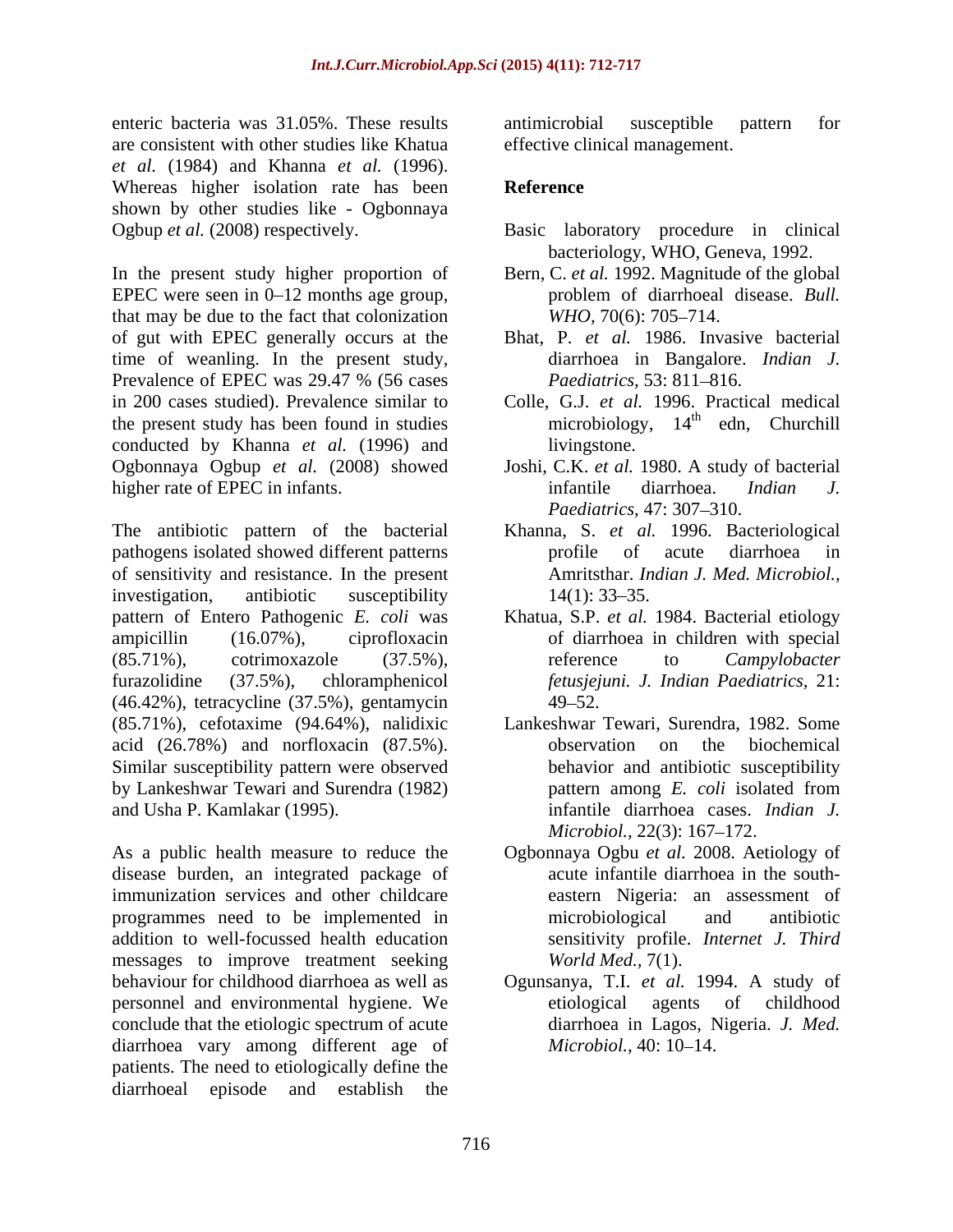enteric bacteria was 31.05%. These results are consistent with other studies like Khatua *et al.* (1984) and Khanna *et al.* (1996). Whereas higher isolation rate has been Reference shown by other studies like - Ogbonnaya Ogbup *et al.* (2008) respectively. Basic laboratory procedure in clinical

In the present study higher proportion of Bern, C. *et al.* 1992. Magnitude of the global EPEC were seen in  $0-12$  months age group, problem of diarrhoeal disease. Bull. that may be due to the fact that colonization  $WHO, 70(6)$ : 705–714. of gut with EPEC generally occurs at the Bhat, P. *et al.* 1986. Invasive bacterial time of weanling. In the present study, Prevalence of EPEC was 29.47 % (56 cases *Paediatrics*, 53: 811–816. in 200 cases studied). Prevalence similar to Colle, G.J. *et al.* 1996. Practical medical the present study has been found in studies conducted by Khanna *et al.* (1996) and Ogbonnaya Ogbup *et al.* (2008) showed Joshi, C.K. *et al.* 1980. A study of bacterial higher rate of EPEC in infants.<br>
infantile diarrhoea. Indian J.

The antibiotic pattern of the bacterial Khanna, S. *et al.* 1996.Bacteriological pathogens isolated showed different patterns but a profile of acute diarrhoea in of sensitivity and resistance. In the present investigation, antibiotic susceptibility 14(1): 33–35. pattern of Entero Pathogenic *E. coli* was ampicillin (16.07%), ciprofloxacin of diarrhoea in children with special (85.71%), cotrimoxazole (37.5%), reference to *Campylobacter* furazolidine (37.5%), chloramphenicol *fetusjejuni. J. Indian Paediatrics,* 21: (46.42%), tetracycline (37.5%), gentamycin (85.71%), cefotaxime (94.64%), nalidixic acid (26.78%) and norfloxacin (87.5%). Similar susceptibility pattern were observed<br>behavior and antibiotic susceptibility<br>by Lankeshwar Tewari and Surendra (1982) behavior and antibiotic susceptibility<br>pattern among E. coli isolated from by Lankeshwar Tewari and Surendra (1982)

As a public health measure to reduce the Ogbonnaya Ogbu *et al.* 2008. Aetiology of disease burden, an integrated package of immunization services and other childcare programmes need to be implemented in microbiological and antibiotic addition to well-focussed health education messages to improve treatment seeking behaviour for childhood diarrhoea as well as Ogunsanya, T.I. *et al.* 1994. A study of personnel and environmental hygiene. We conclude that the etiologic spectrum of acute diarrhoea vary among different age of *Microbiol.*, 40:10–14. patients. The need to etiologically define the diarrhoeal episode and establish the

antimicrobial susceptible pattern for effective clinical management.

# **Reference**

- bacteriology, WHO, Geneva, 1992.
- problem of diarrhoeal disease. *Bull. WHO, 70(6): 705–714.*
- diarrhoea in Bangalore. *Indian J. Paediatrics,* 53: 811–816.
- microbiology, 14<sup>th</sup> edn, Churchill livingstone.
- infantile diarrhoea. *Indian J. Paediatrics,* 47: 307–310.
- profile of acute diarrhoea in Amritsthar. *Indian J. Med. Microbiol.,*  $14(1)$ : 33–35.
- Khatua, S.P. *et al.* 1984. Bacterial etiology reference to *Campylobacter*   $49 - 52.$
- and Usha P. Kamlakar (1995). infantile diarrhoea cases. *Indian J.* Lankeshwar Tewari, Surendra, 1982. Some observation on the biochemical behavior and antibiotic susceptibility pattern among *E. coli* isolated from *Microbiol.,* 22(3): 167–172.
	- acute infantile diarrhoea in the south eastern Nigeria: an assessment of microbiological and antibiotic sensitivity profile. *Internet J. Third World Med.,* 7(1).
	- etiological agents of childhood diarrhoea in Lagos, Nigeria. *J. Med. Microbiol.,* 40: 10–14.